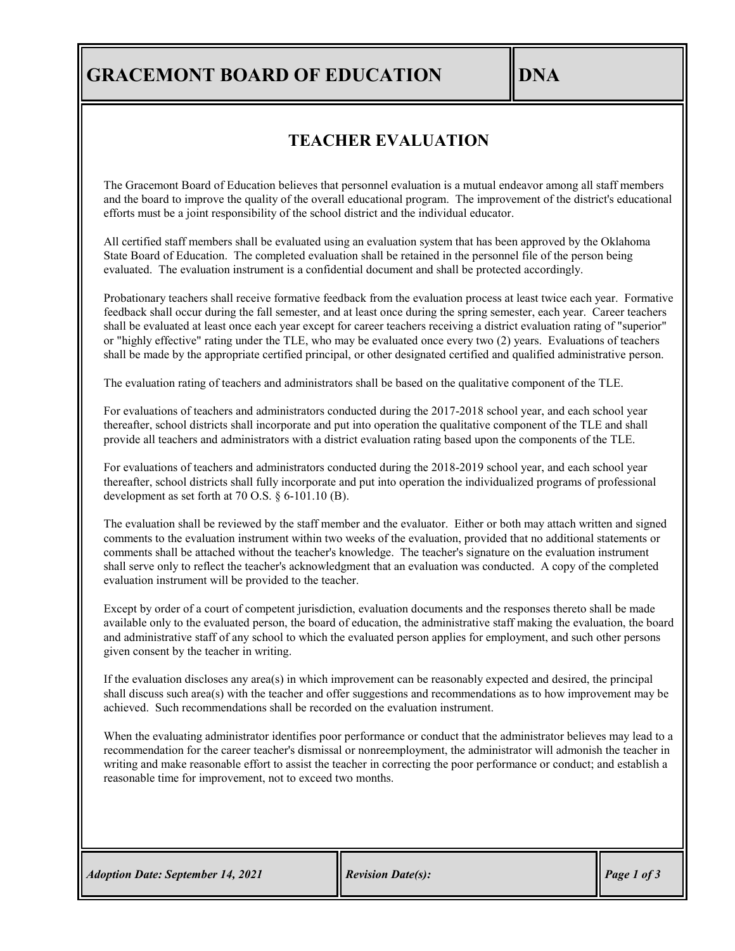## **GRACEMONT BOARD OF EDUCATION DNA**

## **TEACHER EVALUATION**

The Gracemont Board of Education believes that personnel evaluation is a mutual endeavor among all staff members and the board to improve the quality of the overall educational program. The improvement of the district's educational efforts must be a joint responsibility of the school district and the individual educator.

All certified staff members shall be evaluated using an evaluation system that has been approved by the Oklahoma State Board of Education. The completed evaluation shall be retained in the personnel file of the person being evaluated. The evaluation instrument is a confidential document and shall be protected accordingly.

Probationary teachers shall receive formative feedback from the evaluation process at least twice each year. Formative feedback shall occur during the fall semester, and at least once during the spring semester, each year. Career teachers shall be evaluated at least once each year except for career teachers receiving a district evaluation rating of "superior" or "highly effective" rating under the TLE, who may be evaluated once every two (2) years. Evaluations of teachers shall be made by the appropriate certified principal, or other designated certified and qualified administrative person.

The evaluation rating of teachers and administrators shall be based on the qualitative component of the TLE.

For evaluations of teachers and administrators conducted during the 2017-2018 school year, and each school year thereafter, school districts shall incorporate and put into operation the qualitative component of the TLE and shall provide all teachers and administrators with a district evaluation rating based upon the components of the TLE.

For evaluations of teachers and administrators conducted during the 2018-2019 school year, and each school year thereafter, school districts shall fully incorporate and put into operation the individualized programs of professional development as set forth at 70 O.S. § 6-101.10 (B).

The evaluation shall be reviewed by the staff member and the evaluator. Either or both may attach written and signed comments to the evaluation instrument within two weeks of the evaluation, provided that no additional statements or comments shall be attached without the teacher's knowledge. The teacher's signature on the evaluation instrument shall serve only to reflect the teacher's acknowledgment that an evaluation was conducted. A copy of the completed evaluation instrument will be provided to the teacher.

Except by order of a court of competent jurisdiction, evaluation documents and the responses thereto shall be made available only to the evaluated person, the board of education, the administrative staff making the evaluation, the board and administrative staff of any school to which the evaluated person applies for employment, and such other persons given consent by the teacher in writing.

If the evaluation discloses any area(s) in which improvement can be reasonably expected and desired, the principal shall discuss such area(s) with the teacher and offer suggestions and recommendations as to how improvement may be achieved. Such recommendations shall be recorded on the evaluation instrument.

When the evaluating administrator identifies poor performance or conduct that the administrator believes may lead to a recommendation for the career teacher's dismissal or nonreemployment, the administrator will admonish the teacher in writing and make reasonable effort to assist the teacher in correcting the poor performance or conduct; and establish a reasonable time for improvement, not to exceed two months.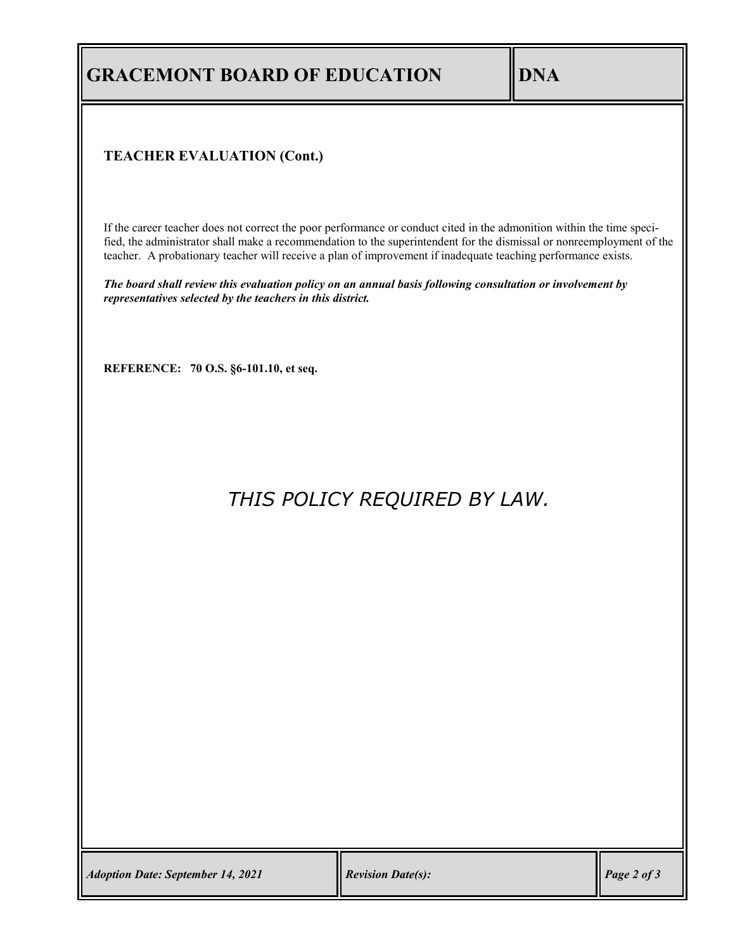## **TEACHER EVALUATION (Cont.)**

If the career teacher does not correct the poor performance or conduct cited in the admonition within the time specified, the administrator shall make a recommendation to the superintendent for the dismissal or nonreemployment of the teacher. A probationary teacher will receive a plan of improvement if inadequate teaching performance exists.

*The board shall review this evaluation policy on an annual basis following consultation or involvement by representatives selected by the teachers in this district.*

**REFERENCE: 70 O.S. §6-101.10, et seq.**

## *THIS POLICY REQUIRED BY LAW.*